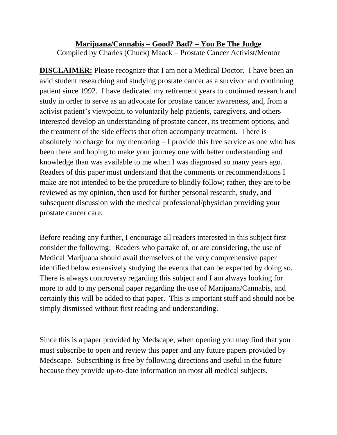## **Marijuana/Cannabis – Good? Bad? – You Be The Judge** Compiled by Charles (Chuck) Maack – Prostate Cancer Activist/Mentor

**DISCLAIMER:** Please recognize that I am not a Medical Doctor. I have been an avid student researching and studying prostate cancer as a survivor and continuing patient since 1992. I have dedicated my retirement years to continued research and study in order to serve as an advocate for prostate cancer awareness, and, from a activist patient's viewpoint, to voluntarily help patients, caregivers, and others interested develop an understanding of prostate cancer, its treatment options, and the treatment of the side effects that often accompany treatment. There is absolutely no charge for my mentoring – I provide this free service as one who has been there and hoping to make your journey one with better understanding and knowledge than was available to me when I was diagnosed so many years ago. Readers of this paper must understand that the comments or recommendations I make are not intended to be the procedure to blindly follow; rather, they are to be reviewed as my opinion, then used for further personal research, study, and subsequent discussion with the medical professional/physician providing your prostate cancer care.

Before reading any further, I encourage all readers interested in this subject first consider the following: Readers who partake of, or are considering, the use of Medical Marijuana should avail themselves of the very comprehensive paper identified below extensively studying the events that can be expected by doing so. There is always controversy regarding this subject and I am always looking for more to add to my personal paper regarding the use of Marijuana/Cannabis, and certainly this will be added to that paper. This is important stuff and should not be simply dismissed without first reading and understanding.

Since this is a paper provided by Medscape, when opening you may find that you must subscribe to open and review this paper and any future papers provided by Medscape. Subscribing is free by following directions and useful in the future because they provide up-to-date information on most all medical subjects.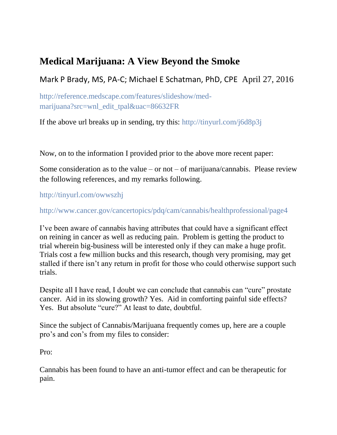## **Medical Marijuana: A View Beyond the Smoke**

Mark P Brady, MS, PA-C; Michael E Schatman, PhD, CPE April 27, 2016

[http://reference.medscape.com/features/slideshow/med](http://reference.medscape.com/features/slideshow/med-marijuana?src=wnl_edit_tpal&uac=86632FR)[marijuana?src=wnl\\_edit\\_tpal&uac=86632FR](http://reference.medscape.com/features/slideshow/med-marijuana?src=wnl_edit_tpal&uac=86632FR)

If the above url breaks up in sending, try this:<http://tinyurl.com/j6d8p3j>

Now, on to the information I provided prior to the above more recent paper:

Some consideration as to the value – or not – of marijuana/cannabis. Please review the following references, and my remarks following.

<http://tinyurl.com/owwszhj>

<http://www.cancer.gov/cancertopics/pdq/cam/cannabis/healthprofessional/page4>

I've been aware of cannabis having attributes that could have a significant effect on reining in cancer as well as reducing pain. Problem is getting the product to trial wherein big-business will be interested only if they can make a huge profit. Trials cost a few million bucks and this research, though very promising, may get stalled if there isn't any return in profit for those who could otherwise support such trials.

Despite all I have read, I doubt we can conclude that cannabis can "cure" prostate cancer. Aid in its slowing growth? Yes. Aid in comforting painful side effects? Yes. But absolute "cure?" At least to date, doubtful.

Since the subject of Cannabis/Marijuana frequently comes up, here are a couple pro's and con's from my files to consider:

Pro:

Cannabis has been found to have an anti-tumor effect and can be therapeutic for pain.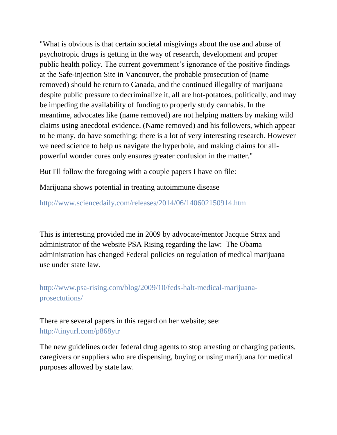"What is obvious is that certain societal misgivings about the use and abuse of psychotropic drugs is getting in the way of research, development and proper public health policy. The current government's ignorance of the positive findings at the Safe-injection Site in Vancouver, the probable prosecution of (name removed) should he return to Canada, and the continued illegality of marijuana despite public pressure to decriminalize it, all are hot-potatoes, politically, and may be impeding the availability of funding to properly study cannabis. In the meantime, advocates like (name removed) are not helping matters by making wild claims using anecdotal evidence. (Name removed) and his followers, which appear to be many, do have something: there is a lot of very interesting research. However we need science to help us navigate the hyperbole, and making claims for allpowerful wonder cures only ensures greater confusion in the matter."

But I'll follow the foregoing with a couple papers I have on file:

Marijuana shows potential in treating autoimmune disease

<http://www.sciencedaily.com/releases/2014/06/140602150914.htm>

This is interesting provided me in 2009 by advocate/mentor Jacquie Strax and administrator of the website PSA Rising regarding the law: The Obama administration has changed Federal policies on regulation of medical marijuana use under state law.

[http://www.psa-rising.com/blog/2009/10/feds-halt-medical-marijuana](http://www.psa-rising.com/blog/2009/10/feds-halt-medical-marijuana-prosectutions/)[prosectutions/](http://www.psa-rising.com/blog/2009/10/feds-halt-medical-marijuana-prosectutions/)

There are several papers in this regard on her website; see: <http://tinyurl.com/p868ytr>

The new guidelines order federal drug agents to stop arresting or charging patients, caregivers or suppliers who are dispensing, buying or using marijuana for medical purposes allowed by state law.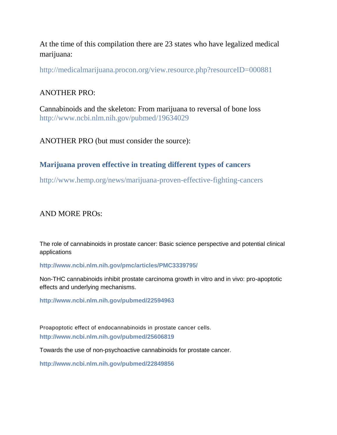At the time of this compilation there are 23 states who have legalized medical marijuana:

<http://medicalmarijuana.procon.org/view.resource.php?resourceID=000881>

## ANOTHER PRO:

Cannabinoids and the skeleton: From marijuana to reversal of bone loss <http://www.ncbi.nlm.nih.gov/pubmed/19634029>

ANOTHER PRO (but must consider the source):

## **Marijuana proven effective in treating different types of cancers**

<http://www.hemp.org/news/marijuana-proven-effective-fighting-cancers>

AND MORE PROs:

The role of cannabinoids in prostate cancer: Basic science perspective and potential clinical applications

**<http://www.ncbi.nlm.nih.gov/pmc/articles/PMC3339795/>**

Non-THC cannabinoids inhibit prostate carcinoma growth in vitro and in vivo: pro-apoptotic effects and underlying mechanisms.

**<http://www.ncbi.nlm.nih.gov/pubmed/22594963>**

Proapoptotic effect of endocannabinoids in prostate cancer cells. **<http://www.ncbi.nlm.nih.gov/pubmed/25606819>**

Towards the use of non-psychoactive cannabinoids for prostate cancer.

**<http://www.ncbi.nlm.nih.gov/pubmed/22849856>**